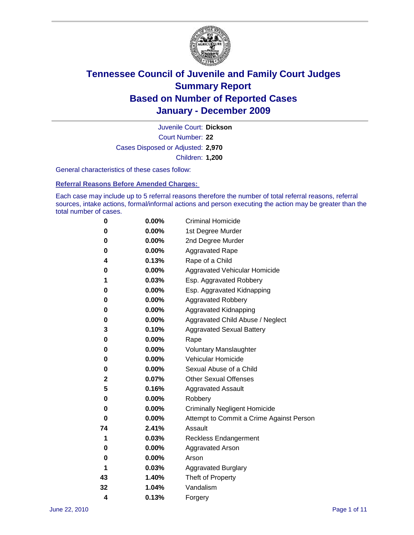

Court Number: **22** Juvenile Court: **Dickson** Cases Disposed or Adjusted: **2,970** Children: **1,200**

General characteristics of these cases follow:

**Referral Reasons Before Amended Charges:** 

Each case may include up to 5 referral reasons therefore the number of total referral reasons, referral sources, intake actions, formal/informal actions and person executing the action may be greater than the total number of cases.

| 0  | 0.00%    | <b>Criminal Homicide</b>                 |  |  |  |
|----|----------|------------------------------------------|--|--|--|
| 0  | 0.00%    | 1st Degree Murder                        |  |  |  |
| 0  | 0.00%    | 2nd Degree Murder                        |  |  |  |
| 0  | 0.00%    | <b>Aggravated Rape</b>                   |  |  |  |
| 4  | 0.13%    | Rape of a Child                          |  |  |  |
| 0  | 0.00%    | Aggravated Vehicular Homicide            |  |  |  |
| 1  | 0.03%    | Esp. Aggravated Robbery                  |  |  |  |
| 0  | 0.00%    | Esp. Aggravated Kidnapping               |  |  |  |
| 0  | 0.00%    | <b>Aggravated Robbery</b>                |  |  |  |
| 0  | 0.00%    | Aggravated Kidnapping                    |  |  |  |
| 0  | 0.00%    | Aggravated Child Abuse / Neglect         |  |  |  |
| 3  | 0.10%    | <b>Aggravated Sexual Battery</b>         |  |  |  |
| 0  | 0.00%    | Rape                                     |  |  |  |
| 0  | 0.00%    | <b>Voluntary Manslaughter</b>            |  |  |  |
| 0  | 0.00%    | Vehicular Homicide                       |  |  |  |
| 0  | 0.00%    | Sexual Abuse of a Child                  |  |  |  |
| 2  | 0.07%    | <b>Other Sexual Offenses</b>             |  |  |  |
| 5  | 0.16%    | <b>Aggravated Assault</b>                |  |  |  |
| 0  | $0.00\%$ | Robbery                                  |  |  |  |
| 0  | 0.00%    | <b>Criminally Negligent Homicide</b>     |  |  |  |
| 0  | 0.00%    | Attempt to Commit a Crime Against Person |  |  |  |
| 74 | 2.41%    | Assault                                  |  |  |  |
| 1  | 0.03%    | <b>Reckless Endangerment</b>             |  |  |  |
| 0  | 0.00%    | <b>Aggravated Arson</b>                  |  |  |  |
| 0  | 0.00%    | Arson                                    |  |  |  |
| 1  | 0.03%    | <b>Aggravated Burglary</b>               |  |  |  |
| 43 | 1.40%    | Theft of Property                        |  |  |  |
| 32 | 1.04%    | Vandalism                                |  |  |  |
| 4  | 0.13%    | Forgery                                  |  |  |  |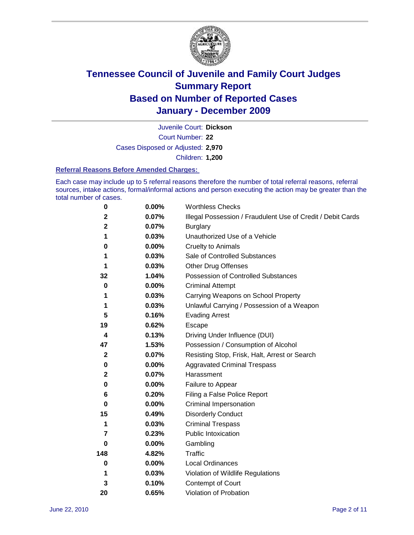

Court Number: **22** Juvenile Court: **Dickson** Cases Disposed or Adjusted: **2,970** Children: **1,200**

#### **Referral Reasons Before Amended Charges:**

Each case may include up to 5 referral reasons therefore the number of total referral reasons, referral sources, intake actions, formal/informal actions and person executing the action may be greater than the total number of cases.

| $\pmb{0}$   | 0.00%    | <b>Worthless Checks</b>                                     |
|-------------|----------|-------------------------------------------------------------|
| 2           | 0.07%    | Illegal Possession / Fraudulent Use of Credit / Debit Cards |
| 2           | 0.07%    | <b>Burglary</b>                                             |
| 1           | 0.03%    | Unauthorized Use of a Vehicle                               |
| 0           | $0.00\%$ | <b>Cruelty to Animals</b>                                   |
| 1           | 0.03%    | Sale of Controlled Substances                               |
| 1           | 0.03%    | <b>Other Drug Offenses</b>                                  |
| 32          | 1.04%    | Possession of Controlled Substances                         |
| 0           | $0.00\%$ | <b>Criminal Attempt</b>                                     |
| 1           | 0.03%    | Carrying Weapons on School Property                         |
| 1           | 0.03%    | Unlawful Carrying / Possession of a Weapon                  |
| 5           | 0.16%    | <b>Evading Arrest</b>                                       |
| 19          | 0.62%    | Escape                                                      |
| 4           | 0.13%    | Driving Under Influence (DUI)                               |
| 47          | 1.53%    | Possession / Consumption of Alcohol                         |
| $\mathbf 2$ | 0.07%    | Resisting Stop, Frisk, Halt, Arrest or Search               |
| 0           | $0.00\%$ | <b>Aggravated Criminal Trespass</b>                         |
| 2           | 0.07%    | Harassment                                                  |
| 0           | 0.00%    | Failure to Appear                                           |
| 6           | 0.20%    | Filing a False Police Report                                |
| $\bf{0}$    | 0.00%    | Criminal Impersonation                                      |
| 15          | 0.49%    | <b>Disorderly Conduct</b>                                   |
| 1           | 0.03%    | <b>Criminal Trespass</b>                                    |
| 7           | 0.23%    | Public Intoxication                                         |
| 0           | $0.00\%$ | Gambling                                                    |
| 148         | 4.82%    | <b>Traffic</b>                                              |
| 0           | $0.00\%$ | Local Ordinances                                            |
| 1           | 0.03%    | Violation of Wildlife Regulations                           |
| 3           | 0.10%    | Contempt of Court                                           |
| 20          | 0.65%    | Violation of Probation                                      |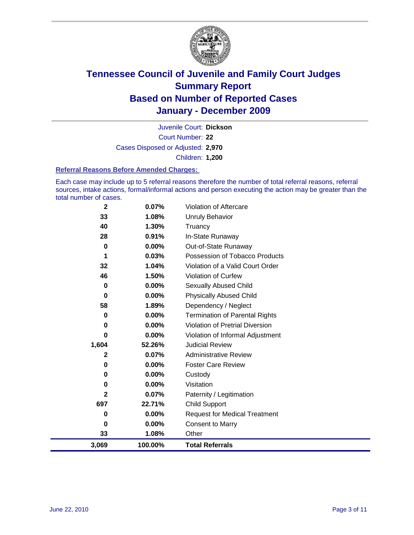

Court Number: **22** Juvenile Court: **Dickson** Cases Disposed or Adjusted: **2,970** Children: **1,200**

#### **Referral Reasons Before Amended Charges:**

Each case may include up to 5 referral reasons therefore the number of total referral reasons, referral sources, intake actions, formal/informal actions and person executing the action may be greater than the total number of cases.

| $\mathbf{2}$ | 0.07%    | Violation of Aftercare                 |
|--------------|----------|----------------------------------------|
| 33           | 1.08%    | Unruly Behavior                        |
| 40           | 1.30%    | Truancy                                |
| 28           | 0.91%    | In-State Runaway                       |
| 0            | 0.00%    | Out-of-State Runaway                   |
| 1            | 0.03%    | Possession of Tobacco Products         |
| 32           | 1.04%    | Violation of a Valid Court Order       |
| 46           | 1.50%    | Violation of Curfew                    |
| 0            | 0.00%    | Sexually Abused Child                  |
| 0            | 0.00%    | <b>Physically Abused Child</b>         |
| 58           | 1.89%    | Dependency / Neglect                   |
| 0            | 0.00%    | <b>Termination of Parental Rights</b>  |
| 0            | 0.00%    | <b>Violation of Pretrial Diversion</b> |
| 0            | 0.00%    | Violation of Informal Adjustment       |
| 1,604        | 52.26%   | <b>Judicial Review</b>                 |
| 2            | 0.07%    | <b>Administrative Review</b>           |
| 0            | $0.00\%$ | <b>Foster Care Review</b>              |
| 0            | 0.00%    | Custody                                |
| 0            | 0.00%    | Visitation                             |
| 2            | 0.07%    | Paternity / Legitimation               |
| 697          | 22.71%   | <b>Child Support</b>                   |
| 0            | 0.00%    | <b>Request for Medical Treatment</b>   |
| 0            | 0.00%    | <b>Consent to Marry</b>                |
| 33           | 1.08%    | Other                                  |
| 3,069        | 100.00%  | <b>Total Referrals</b>                 |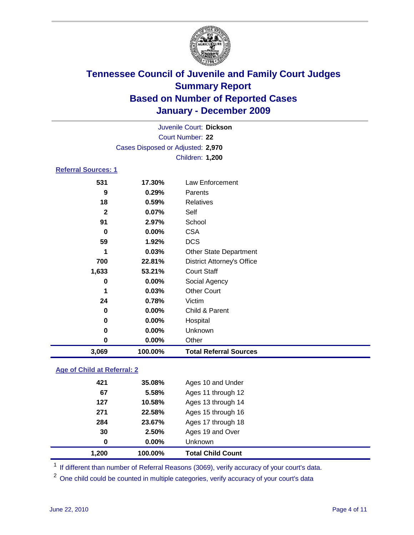

| Juvenile Court: Dickson    |                                   |                                   |  |  |
|----------------------------|-----------------------------------|-----------------------------------|--|--|
| Court Number: 22           |                                   |                                   |  |  |
|                            | Cases Disposed or Adjusted: 2,970 |                                   |  |  |
|                            |                                   | Children: 1,200                   |  |  |
| <b>Referral Sources: 1</b> |                                   |                                   |  |  |
| 531                        | 17.30%                            | Law Enforcement                   |  |  |
| 9                          | 0.29%                             | Parents                           |  |  |
| 18                         | 0.59%                             | <b>Relatives</b>                  |  |  |
| $\mathbf{2}$               | 0.07%                             | Self                              |  |  |
| 91                         | 2.97%                             | School                            |  |  |
| 0                          | 0.00%                             | <b>CSA</b>                        |  |  |
| 59                         | 1.92%                             | <b>DCS</b>                        |  |  |
| 1                          | 0.03%                             | <b>Other State Department</b>     |  |  |
| 700                        | 22.81%                            | <b>District Attorney's Office</b> |  |  |
| 1,633                      | 53.21%                            | <b>Court Staff</b>                |  |  |
| 0                          | 0.00%                             | Social Agency                     |  |  |
| 1                          | 0.03%                             | <b>Other Court</b>                |  |  |
| 24                         | 0.78%                             | Victim                            |  |  |
| 0                          | $0.00\%$                          | Child & Parent                    |  |  |
| 0                          | 0.00%                             | Hospital                          |  |  |
| 0                          | 0.00%                             | Unknown                           |  |  |
| 0                          | 0.00%                             | Other                             |  |  |
| 3,069                      | 100.00%                           | <b>Total Referral Sources</b>     |  |  |

### **Age of Child at Referral: 2**

| 1,200 | 100.00% | <b>Total Child Count</b> |
|-------|---------|--------------------------|
| 0     | 0.00%   | <b>Unknown</b>           |
| 30    | 2.50%   | Ages 19 and Over         |
| 284   | 23.67%  | Ages 17 through 18       |
| 271   | 22.58%  | Ages 15 through 16       |
| 127   | 10.58%  | Ages 13 through 14       |
| 67    | 5.58%   | Ages 11 through 12       |
| 421   | 35.08%  | Ages 10 and Under        |
|       |         |                          |

<sup>1</sup> If different than number of Referral Reasons (3069), verify accuracy of your court's data.

<sup>2</sup> One child could be counted in multiple categories, verify accuracy of your court's data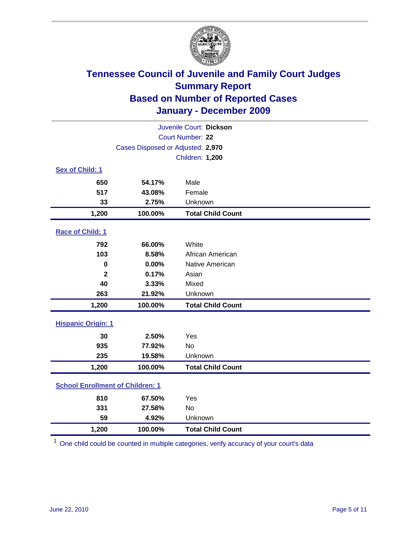

| Juvenile Court: Dickson                 |                                   |                          |  |  |  |
|-----------------------------------------|-----------------------------------|--------------------------|--|--|--|
| Court Number: 22                        |                                   |                          |  |  |  |
|                                         | Cases Disposed or Adjusted: 2,970 |                          |  |  |  |
|                                         |                                   | <b>Children: 1,200</b>   |  |  |  |
| Sex of Child: 1                         |                                   |                          |  |  |  |
| 650                                     | 54.17%                            | Male                     |  |  |  |
| 517                                     | 43.08%                            | Female                   |  |  |  |
| 33                                      | 2.75%                             | Unknown                  |  |  |  |
| 1,200                                   | 100.00%                           | <b>Total Child Count</b> |  |  |  |
| Race of Child: 1                        |                                   |                          |  |  |  |
| 792                                     | 66.00%                            | White                    |  |  |  |
| 103                                     | 8.58%                             | African American         |  |  |  |
| $\mathbf 0$                             | 0.00%                             | Native American          |  |  |  |
| $\mathbf{2}$                            | 0.17%                             | Asian                    |  |  |  |
| 40                                      | 3.33%                             | Mixed                    |  |  |  |
| 263                                     | 21.92%                            | Unknown                  |  |  |  |
| 1,200                                   | 100.00%                           | <b>Total Child Count</b> |  |  |  |
| <b>Hispanic Origin: 1</b>               |                                   |                          |  |  |  |
| 30                                      | 2.50%                             | Yes                      |  |  |  |
| 935                                     | 77.92%                            | <b>No</b>                |  |  |  |
| 235                                     | 19.58%                            | Unknown                  |  |  |  |
| 1,200                                   | 100.00%                           | <b>Total Child Count</b> |  |  |  |
| <b>School Enrollment of Children: 1</b> |                                   |                          |  |  |  |
| 810                                     | 67.50%                            | Yes                      |  |  |  |
| 331                                     | 27.58%                            | <b>No</b>                |  |  |  |
| 59                                      | 4.92%                             | Unknown                  |  |  |  |
| 1,200                                   | 100.00%                           | <b>Total Child Count</b> |  |  |  |

<sup>1</sup> One child could be counted in multiple categories, verify accuracy of your court's data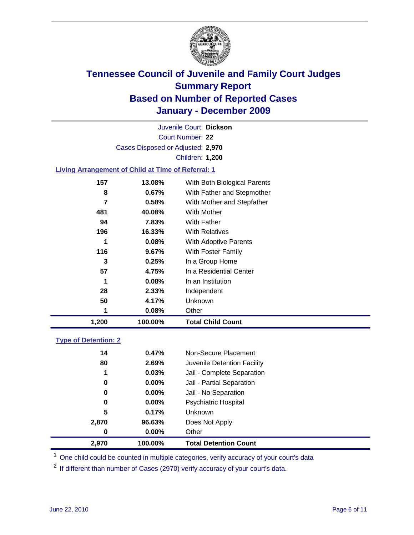

Court Number: **22** Juvenile Court: **Dickson** Cases Disposed or Adjusted: **2,970** Children: **1,200**

### **Living Arrangement of Child at Time of Referral: 1**

| 1,200 | 100.00%  | <b>Total Child Count</b>     |
|-------|----------|------------------------------|
| 1     | 0.08%    | Other                        |
| 50    | 4.17%    | <b>Unknown</b>               |
| 28    | 2.33%    | Independent                  |
| 1     | 0.08%    | In an Institution            |
| 57    | 4.75%    | In a Residential Center      |
| 3     | 0.25%    | In a Group Home              |
| 116   | $9.67\%$ | With Foster Family           |
| 1     | 0.08%    | With Adoptive Parents        |
| 196   | 16.33%   | <b>With Relatives</b>        |
| 94    | 7.83%    | With Father                  |
| 481   | 40.08%   | With Mother                  |
| 7     | 0.58%    | With Mother and Stepfather   |
| 8     | 0.67%    | With Father and Stepmother   |
| 157   | 13.08%   | With Both Biological Parents |
|       |          |                              |

### **Type of Detention: 2**

| 2.970 | 100.00%  | <b>Total Detention Count</b> |  |
|-------|----------|------------------------------|--|
| 0     | 0.00%    | Other                        |  |
| 2,870 | 96.63%   | Does Not Apply               |  |
| 5     | 0.17%    | Unknown                      |  |
| 0     | 0.00%    | <b>Psychiatric Hospital</b>  |  |
| 0     | 0.00%    | Jail - No Separation         |  |
| 0     | $0.00\%$ | Jail - Partial Separation    |  |
| 1     | 0.03%    | Jail - Complete Separation   |  |
| 80    | 2.69%    | Juvenile Detention Facility  |  |
| 14    | 0.47%    | Non-Secure Placement         |  |
|       |          |                              |  |

<sup>1</sup> One child could be counted in multiple categories, verify accuracy of your court's data

<sup>2</sup> If different than number of Cases (2970) verify accuracy of your court's data.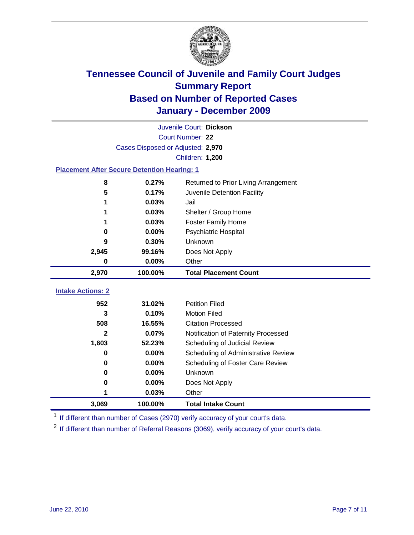

|                                                    | Juvenile Court: Dickson           |                                      |  |  |  |
|----------------------------------------------------|-----------------------------------|--------------------------------------|--|--|--|
|                                                    | Court Number: 22                  |                                      |  |  |  |
|                                                    | Cases Disposed or Adjusted: 2,970 |                                      |  |  |  |
|                                                    |                                   | <b>Children: 1,200</b>               |  |  |  |
| <b>Placement After Secure Detention Hearing: 1</b> |                                   |                                      |  |  |  |
| 8                                                  | 0.27%                             | Returned to Prior Living Arrangement |  |  |  |
| 5                                                  | 0.17%                             | Juvenile Detention Facility          |  |  |  |
| 1                                                  | 0.03%                             | Jail                                 |  |  |  |
|                                                    | 0.03%                             | Shelter / Group Home                 |  |  |  |
| 1                                                  | 0.03%                             | Foster Family Home                   |  |  |  |
| 0                                                  | 0.00%                             | Psychiatric Hospital                 |  |  |  |
| 9                                                  | 0.30%                             | Unknown                              |  |  |  |
| 2,945                                              | 99.16%                            | Does Not Apply                       |  |  |  |
| $\bf{0}$                                           | $0.00\%$                          | Other                                |  |  |  |
| 2,970                                              | 100.00%                           | <b>Total Placement Count</b>         |  |  |  |
|                                                    |                                   |                                      |  |  |  |
| <b>Intake Actions: 2</b>                           |                                   |                                      |  |  |  |
| 952                                                | 31.02%                            | <b>Petition Filed</b>                |  |  |  |
| 3                                                  | 0.10%                             | <b>Motion Filed</b>                  |  |  |  |
| 508                                                | 16.55%                            | <b>Citation Processed</b>            |  |  |  |
| $\mathbf{2}$                                       | 0.07%                             | Notification of Paternity Processed  |  |  |  |
| 1,603                                              | 52.23%                            | Scheduling of Judicial Review        |  |  |  |
| 0                                                  | 0.00%                             | Scheduling of Administrative Review  |  |  |  |
| 0                                                  | 0.00%                             | Scheduling of Foster Care Review     |  |  |  |
| $\bf{0}$                                           | 0.00%                             | Unknown                              |  |  |  |
| 0                                                  | 0.00%                             | Does Not Apply                       |  |  |  |
| 1                                                  | 0.03%                             | Other                                |  |  |  |
| 3,069                                              | 100.00%                           | <b>Total Intake Count</b>            |  |  |  |

<sup>1</sup> If different than number of Cases (2970) verify accuracy of your court's data.

<sup>2</sup> If different than number of Referral Reasons (3069), verify accuracy of your court's data.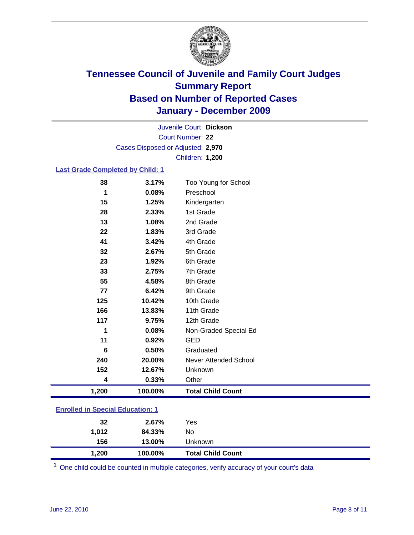

Court Number: **22** Juvenile Court: **Dickson** Cases Disposed or Adjusted: **2,970** Children: **1,200**

#### **Last Grade Completed by Child: 1**

| 38                                      | 3.17%   | Too Young for School         |  |
|-----------------------------------------|---------|------------------------------|--|
| 1                                       | 0.08%   | Preschool                    |  |
| 15                                      | 1.25%   | Kindergarten                 |  |
| 28                                      | 2.33%   | 1st Grade                    |  |
| 13                                      | 1.08%   | 2nd Grade                    |  |
| 22                                      | 1.83%   | 3rd Grade                    |  |
| 41                                      | 3.42%   | 4th Grade                    |  |
| 32                                      | 2.67%   | 5th Grade                    |  |
| 23                                      | 1.92%   | 6th Grade                    |  |
| 33                                      | 2.75%   | 7th Grade                    |  |
| 55                                      | 4.58%   | 8th Grade                    |  |
| 77                                      | 6.42%   | 9th Grade                    |  |
| 125                                     | 10.42%  | 10th Grade                   |  |
| 166                                     | 13.83%  | 11th Grade                   |  |
| 117                                     | 9.75%   | 12th Grade                   |  |
| 1                                       | 0.08%   | Non-Graded Special Ed        |  |
| 11                                      | 0.92%   | <b>GED</b>                   |  |
| 6                                       | 0.50%   | Graduated                    |  |
| 240                                     | 20.00%  | <b>Never Attended School</b> |  |
| 152                                     | 12.67%  | Unknown                      |  |
| 4                                       | 0.33%   | Other                        |  |
| 1,200                                   | 100.00% | <b>Total Child Count</b>     |  |
| <b>Enrolled in Special Education: 1</b> |         |                              |  |

| 1,200 | 100.00% | <b>Total Child Count</b> |
|-------|---------|--------------------------|
| 156   | 13.00%  | Unknown                  |
| 1.012 | 84.33%  | No                       |
| 32    | 2.67%   | Yes                      |
|       |         |                          |

One child could be counted in multiple categories, verify accuracy of your court's data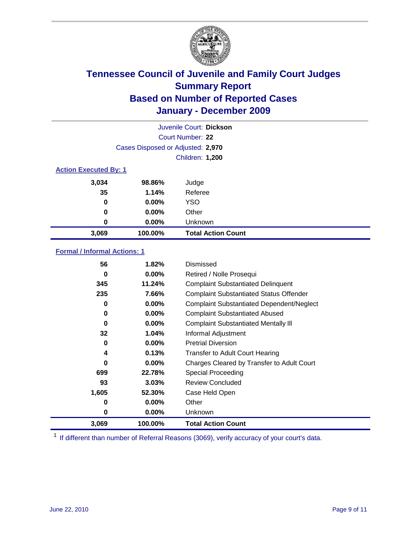

| Juvenile Court: Dickson      |                                   |                           |  |  |
|------------------------------|-----------------------------------|---------------------------|--|--|
|                              | Court Number: 22                  |                           |  |  |
|                              | Cases Disposed or Adjusted: 2,970 |                           |  |  |
|                              |                                   | <b>Children: 1,200</b>    |  |  |
| <b>Action Executed By: 1</b> |                                   |                           |  |  |
| 3,034                        | 98.86%                            | Judge                     |  |  |
| 35                           | 1.14%                             | Referee                   |  |  |
| 0                            | $0.00\%$                          | <b>YSO</b>                |  |  |
| $\bf{0}$                     | 0.00%                             | Other                     |  |  |
| 0                            | 0.00%                             | Unknown                   |  |  |
| 3,069                        | 100.00%                           | <b>Total Action Count</b> |  |  |

### **Formal / Informal Actions: 1**

| 56    | 1.82%    | Dismissed                                        |
|-------|----------|--------------------------------------------------|
| 0     | $0.00\%$ | Retired / Nolle Prosequi                         |
| 345   | 11.24%   | <b>Complaint Substantiated Delinquent</b>        |
| 235   | 7.66%    | <b>Complaint Substantiated Status Offender</b>   |
| 0     | $0.00\%$ | <b>Complaint Substantiated Dependent/Neglect</b> |
| 0     | $0.00\%$ | <b>Complaint Substantiated Abused</b>            |
| 0     | $0.00\%$ | <b>Complaint Substantiated Mentally III</b>      |
| 32    | 1.04%    | Informal Adjustment                              |
| 0     | $0.00\%$ | <b>Pretrial Diversion</b>                        |
| 4     | 0.13%    | <b>Transfer to Adult Court Hearing</b>           |
| 0     | $0.00\%$ | Charges Cleared by Transfer to Adult Court       |
| 699   | 22.78%   | Special Proceeding                               |
| 93    | 3.03%    | <b>Review Concluded</b>                          |
| 1,605 | 52.30%   | Case Held Open                                   |
| 0     | $0.00\%$ | Other                                            |
| 0     | $0.00\%$ | <b>Unknown</b>                                   |
| 3,069 | 100.00%  | <b>Total Action Count</b>                        |

<sup>1</sup> If different than number of Referral Reasons (3069), verify accuracy of your court's data.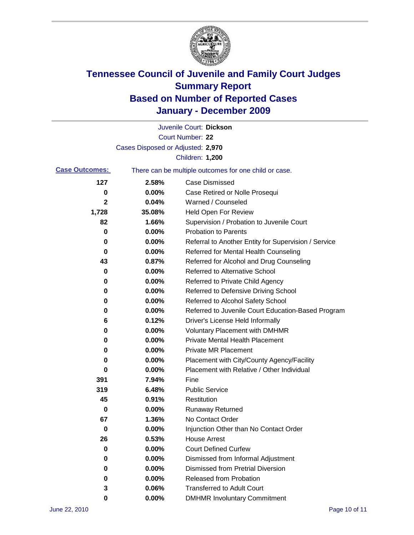

|                       |                                   | Juvenile Court: Dickson                               |
|-----------------------|-----------------------------------|-------------------------------------------------------|
|                       |                                   | Court Number: 22                                      |
|                       | Cases Disposed or Adjusted: 2,970 |                                                       |
|                       |                                   | Children: 1,200                                       |
| <b>Case Outcomes:</b> |                                   | There can be multiple outcomes for one child or case. |
| 127                   | 2.58%                             | <b>Case Dismissed</b>                                 |
| 0                     | 0.00%                             | Case Retired or Nolle Prosequi                        |
| 2                     | 0.04%                             | Warned / Counseled                                    |
| 1,728                 | 35.08%                            | <b>Held Open For Review</b>                           |
| 82                    | 1.66%                             | Supervision / Probation to Juvenile Court             |
| 0                     | 0.00%                             | <b>Probation to Parents</b>                           |
| 0                     | 0.00%                             | Referral to Another Entity for Supervision / Service  |
| 0                     | 0.00%                             | Referred for Mental Health Counseling                 |
| 43                    | 0.87%                             | Referred for Alcohol and Drug Counseling              |
| 0                     | 0.00%                             | <b>Referred to Alternative School</b>                 |
| 0                     | 0.00%                             | Referred to Private Child Agency                      |
| 0                     | 0.00%                             | Referred to Defensive Driving School                  |
| 0                     | 0.00%                             | Referred to Alcohol Safety School                     |
| 0                     | 0.00%                             | Referred to Juvenile Court Education-Based Program    |
| 6                     | 0.12%                             | Driver's License Held Informally                      |
| 0                     | 0.00%                             | <b>Voluntary Placement with DMHMR</b>                 |
| 0                     | 0.00%                             | <b>Private Mental Health Placement</b>                |
| 0                     | 0.00%                             | <b>Private MR Placement</b>                           |
| 0                     | 0.00%                             | Placement with City/County Agency/Facility            |
| 0                     | 0.00%                             | Placement with Relative / Other Individual            |
| 391                   | 7.94%                             | Fine                                                  |
| 319                   | 6.48%                             | <b>Public Service</b>                                 |
| 45                    | 0.91%                             | Restitution                                           |
| 0                     | 0.00%                             | Runaway Returned                                      |
| 67                    | 1.36%                             | No Contact Order                                      |
| $\bf{0}$              | 0.00%                             | Injunction Other than No Contact Order                |
| 26                    | 0.53%                             | <b>House Arrest</b>                                   |
| 0                     | 0.00%                             | <b>Court Defined Curfew</b>                           |
| 0                     | 0.00%                             | Dismissed from Informal Adjustment                    |
| 0                     | 0.00%                             | <b>Dismissed from Pretrial Diversion</b>              |
| 0                     | 0.00%                             | Released from Probation                               |
| 3                     | 0.06%                             | <b>Transferred to Adult Court</b>                     |
| 0                     | $0.00\%$                          | <b>DMHMR Involuntary Commitment</b>                   |